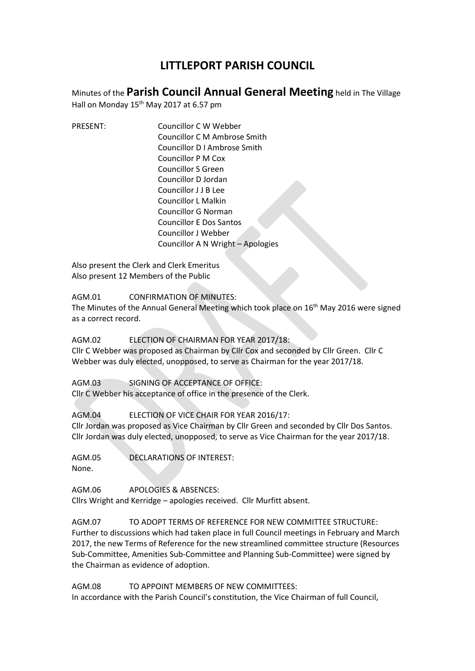## **LITTLEPORT PARISH COUNCIL**

Minutes of the **Parish Council Annual General Meeting** held in The Village

Hall on Monday 15<sup>th</sup> May 2017 at 6.57 pm

PRESENT: Councillor C W Webber Councillor C M Ambrose Smith Councillor D I Ambrose Smith Councillor P M Cox Councillor S Green Councillor D Jordan Councillor J J B Lee Councillor L Malkin Councillor G Norman Councillor E Dos Santos Councillor J Webber Councillor A N Wright – Apologies

Also present the Clerk and Clerk Emeritus Also present 12 Members of the Public

AGM.01 CONFIRMATION OF MINUTES:

The Minutes of the Annual General Meeting which took place on 16<sup>th</sup> May 2016 were signed as a correct record.

AGM.02 ELECTION OF CHAIRMAN FOR YEAR 2017/18:

Cllr C Webber was proposed as Chairman by Cllr Cox and seconded by Cllr Green. Cllr C Webber was duly elected, unopposed, to serve as Chairman for the year 2017/18.

AGM.03 SIGNING OF ACCEPTANCE OF OFFICE:

Cllr C Webber his acceptance of office in the presence of the Clerk.

## AGM.04 ELECTION OF VICE CHAIR FOR YEAR 2016/17:

Cllr Jordan was proposed as Vice Chairman by Cllr Green and seconded by Cllr Dos Santos. Cllr Jordan was duly elected, unopposed, to serve as Vice Chairman for the year 2017/18.

AGM.05 DECLARATIONS OF INTEREST:

None.

AGM.06 APOLOGIES & ABSENCES:

Cllrs Wright and Kerridge – apologies received. Cllr Murfitt absent.

AGM.07 TO ADOPT TERMS OF REFERENCE FOR NEW COMMITTEE STRUCTURE: Further to discussions which had taken place in full Council meetings in February and March 2017, the new Terms of Reference for the new streamlined committee structure (Resources Sub-Committee, Amenities Sub-Committee and Planning Sub-Committee) were signed by the Chairman as evidence of adoption.

AGM.08 TO APPOINT MEMBERS OF NEW COMMITTEES: In accordance with the Parish Council's constitution, the Vice Chairman of full Council,